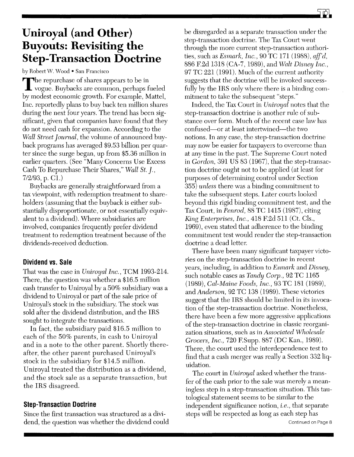## **Uniroyal (and Other) Buyouts: Revisiting the Step-Transaction Doctrine**

by Robert W. Wood • San Francisco

The repurchase of shares appears to be in<br>vogue. Buybacks are common, perhaps fueled by modest economic growth. For example, MatteI, Inc. reportedly plans to buy back ten million shares during the next four years. The trend has been significant, given that companies have found that they do not need cash for expansion. According to the *Wall Street Journal,* the volume of announced buyback programs has averaged \$9.53 billion per quarter since the surge began, up from \$5.36 million in earlier quarters. (See "Many Concerns Use Excess Cash To Repurchase Their Shares," *Wall St.* J., *7/2/93,* p. Cl.)

Buybacks are generally straightforward from a tax viewpoint, with redemption treatment to shareholders (assuming that the buyback is either substantially disproportionate, or not essentially equivalent to a dividend). Where subsidiaries are involved, companies frequently prefer dividend treatment to redemption treatment because of the dividends-received deduction.

## **Dividend vs. Sale**

That was the case in *Uniroyal Inc.,* TCM 1993-214. There, the question was whether a \$16.5 million cash transfer to Uniroyal by a 50% subsidiary was a dividend to Uniroyal or part of the sale price of Uniroyal's stock in the subsidiary. The stock was sold after the dividend distribution, and the IRS sought to integrate the transactions.

In fact, the subsidiary paid \$16.5 million to each of the 50% parents, in cash to Uniroyal and in a note to the other parent. Shortly thereafter, the other parent purchased Uniroyal's stock in the subsidiary for \$14.5 million. Uniroyal treated the distribution as a dividend, and the stock sale as a separate transaction, but the IRS disagreed.

## **Step-Transaction Doctrine**

Since the first transaction was structured as a dividend, the question was whether the dividend could be disregarded as a separate transaction under the step-transaction doctrine. The Tax Court went through the more current step-transaction authorities, such as *Esmark*, *Inc.*, 90 TC 171 (1988), *aff'd*, 886 F.2d 1318 (CA-7, 1989), and *Walt Disney Inc.,*  97 TC 221 (1991). Much of the current authority suggests that the doctrine will be invoked successfully by the IRS only where there is a binding commitment to take the subsequent "steps."

Indeed, the Tax Court in *Uniroyal* notes that the step-transaction doctrine is another rule of substance over form. Much of the recent case law has confused-or at least intertwined-the two notions. In any case, the step-transaction doctrine may now be easier for taxpayers to overcome than at any time in the past. The Supreme Court noted in *Gordon,* 391 US 83 (1967), that the step-transaction doctrine ought not to be applied (at least for purposes of determining control under Section *355) unless* there was a binding commitment to take the subsequent steps. Later courts looked beyond this rigid binding commitment test, and the Tax Court, in *Penrod,* 88 TC 1415 (1987), citing *King Enterprises, Inc.,* 418 F.2d 511 (Ct. CIs., 1969), even stated that adherence to the binding commitment test would render the step-transaction doctrine a dead letter.

There have been many significant taxpayer victories on the step-transaction doctrine in recent years, including, in addition to *Esmark* and *Disney,*  such notable cases as *Tandy Corp.,* 92 TC 1165 *(1989), Cal-Maine Foods, Inc.,* 93 TC 181 (1989), and *Anderson,* 92 TC 138 (1989). These victories suggest that the IRS should be limited in its invocation of the step-transaction doctrine. Nonetheless, there have been a few more aggressive applications of the step-transaction doctrine in classic reorganization situations, such as in *Associated 'Wholesale Grocers, Inc.,* 720 F.Supp. 887 (DC Kan., 1989). There, the court used the interdependence test to find that a cash merger was really a Section 332 liquidation.

The court in *Uniroyal* asked whether the transfer of the cash prior to the sale was merely a meaningless step in a step-transaction situation. This tautological statement seems to be similar to the independent significance notion, *i.e.,* that separate steps will be respected as long as each step has